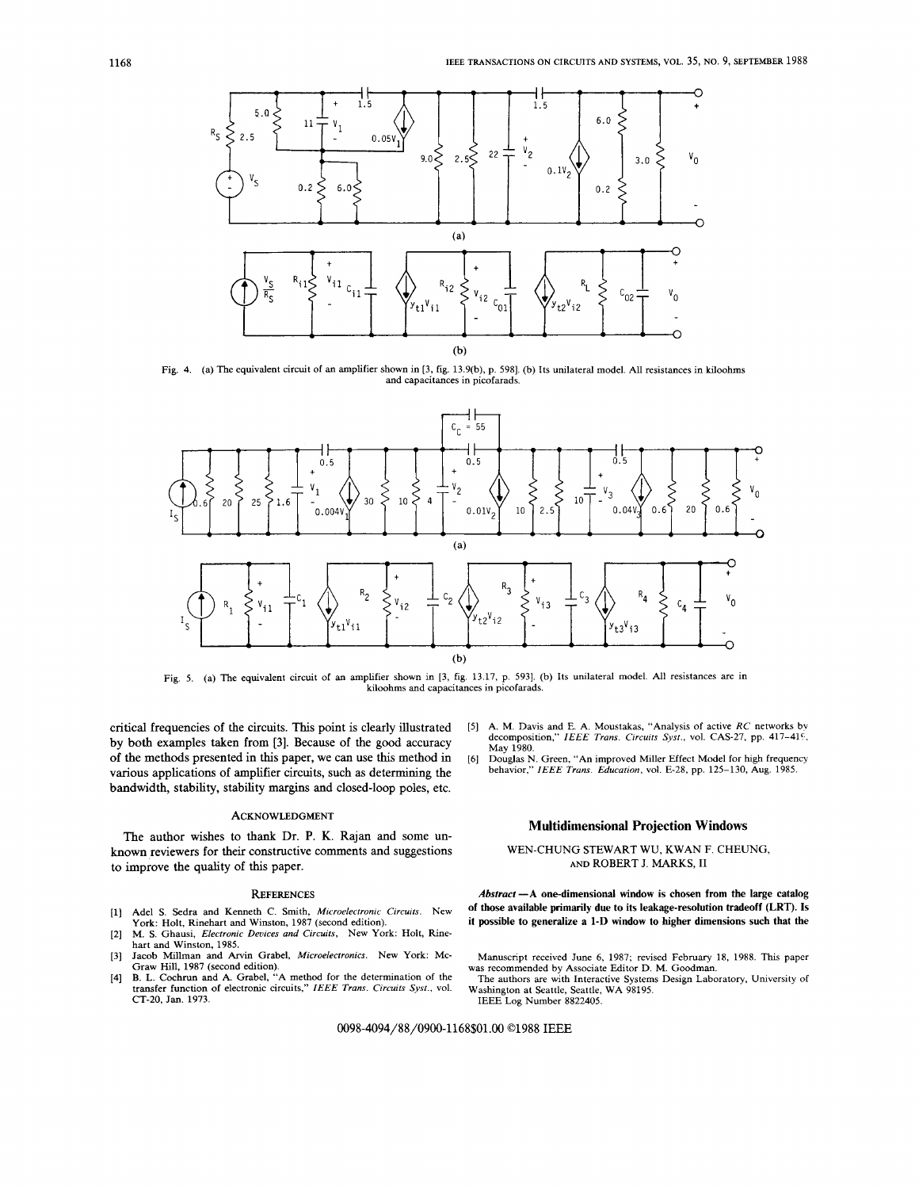

[Fig.](#page-3-0) 4. (a) The equivalent circuit of an amplifier shown in [3, fig. 13.9(b), p. 5981. (b) Its unilateral model. All resistances in kiloohms and capacitances in picofarads.



Fig. 5. (a) The equivalent circuit of an amplifier shown in [3, fig. 13.17, p. 5931. (b) Its unilateral model. All resistances are in kiloohms and capacitances in picofarads.

critical frequencies of the circuits. This point is clearly illustrated by both examples taken from **[3].** Because of the good accuracy **of** the methods presented in this paper, we can use this method in various applications of amplifier circuits, such as determining the bandwidth, stability, stability margins and closed-loop poles, etc.

## ACKNOWLEDGMENT

The author wishes to thank Dr. **P. K.** Rajan and some unknown reviewers for their constructive comments and suggestions to improve the quality of this paper.

#### **REFERENCES**

- [l] Adel **S.** Sedra and Kenneth C. Smith, *Microelectronic Circuits.* New York: Holt, Rinehart and Winston, 1987 (second edition).
- [2] M. **S.** Ghausi, *Electronic Devices and Circuits,* New York: Holt, Rinehart and Winston, 1985.
- [3] Jacob Millman and Arvin Grabel, *Microelectronics.* New York: Mc-Graw Hill, 1987 (second edition).
- [4] **B. L.** Cochrun and A. Grabel, "A method for the determination of the transfer function of electronic circuits," *IEEE Trans. Circuits Sysr.,* vol. **CT-20,** Jan. 1973.
- [5] A. M. Davis and E. A. Moustakas, "Analysis of active *RC* networks bv decomposition," IEEE Trans. Circuits Syst., vol. CAS-27, pp. 417-419, May 1980.
- Douglas N. Green, "An improved Miller Effect Model for high frequency behavior," *IEEE Truns. Education,* vol. E-28, pp. 125-130, Aug. 1985. [6]

# **Multidimensional Projection Windows**

# WEN-CHUNG STEWART WU, KWAN F. CHEUNG, **AND** ROBERT J. MARKS, **I1**

*Abstract* **-A one-dimensional window is chosen from the large catalog of those available primarily due to its leakage-resolution tradeoff (LRT). Is it possible to generalize a 1-D window to higher dimensions such that the** 

- Manuscript received June 6, 1987; revised February 18, 1988. This paper The authors are with Interactive Systems Design Laboratory, University of was recommended by Associate Editor D. M. Goodman.
- IEEE Log Number 8822405. Washington at Seattle, Seattle, WA 98195.

0098-4094/88/0900-1168\$01.00 01988 IEEE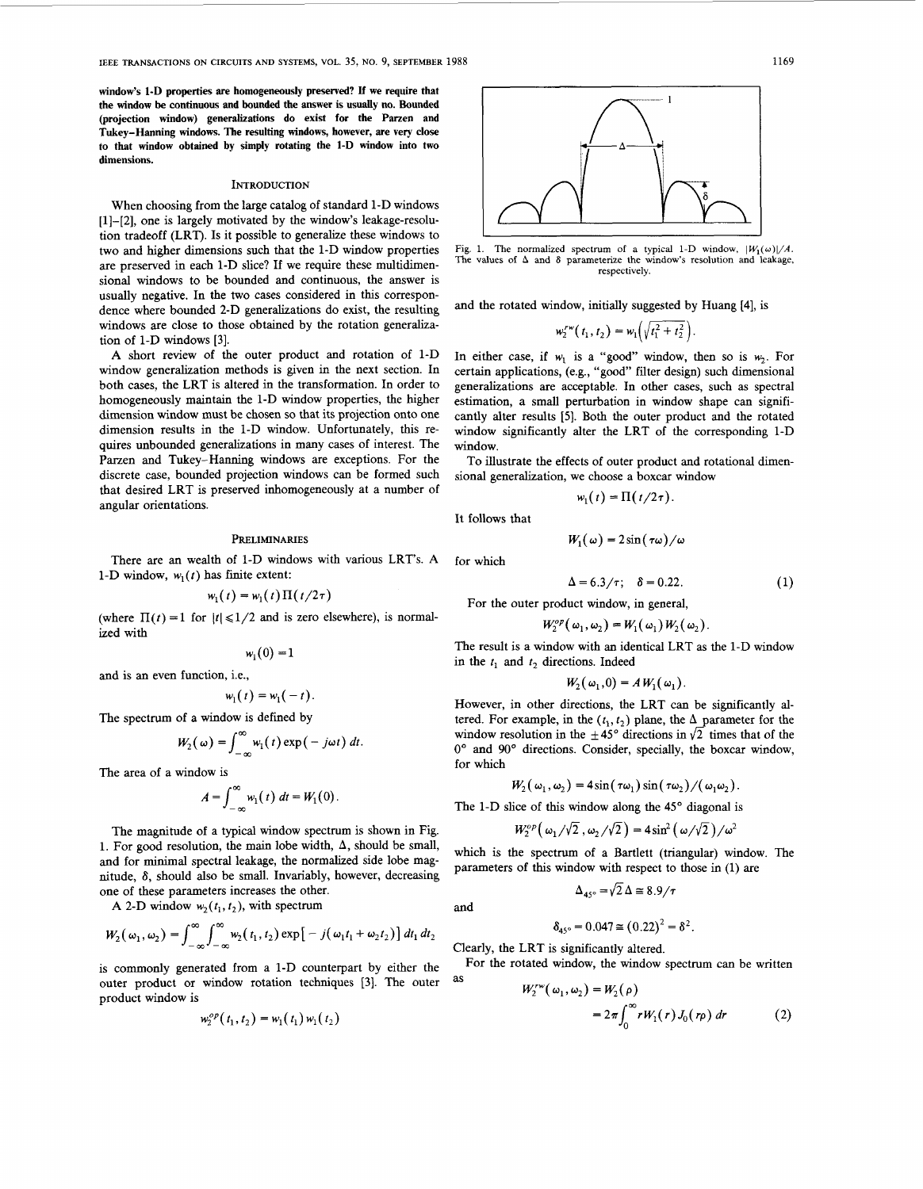**window's 1-D properties are homogeneously preserved? If we require that the window be continuous and bounded the answer is usually no. Bounded (projection window) generalizations do exist for the Parzen and Tukey-Hanning windows. The resulting windows, however, are very close to that window obtained by simply rotating the 1-D window into two dimensions.** 

#### **INTRODUCTION**

When choosing from the large catalog of standard 1-D windows [1]-[2], one is largely motivated by the window's leakage-resolution tradeoff (LRT). **Is** it possible to generalize these windows to two and higher dimensions such that the 1-D window properties are preserved in each 1-D slice? If we require these multidimensional windows to be bounded and continuous, the answer is usually negative. In the two cases considered in this correspondence where bounded 2-D generalizations do exist, the resulting windows are close to those obtained by the rotation generalization of 1-D windows [3].

**A** short review of the outer product and rotation of 1-D window generalization methods is given in the next section. In both cases, the LRT is altered in the transformation. In order to homogeneously maintain the 1-D window properties, the higher dimension window must be chosen so that its projection onto one dimension results in the 1-D window. Unfortunately, **this** requires unbounded generalizations in many cases of interest. The Parzen and Tukey-Hanning windows are exceptions. For the discrete case, bounded projection windows can be formed such that desired LRT is preserved inhomogeneously at a number of angular orientations.

#### PRELIMINARIES

There are an wealth of 1-D windows with various LRT's. **A**  1-D window,  $w_1(t)$  has finite extent:

$$
w_1(t) = w_1(t) \Pi(t/2\tau)
$$

(where  $\Pi(t) = 1$  for  $|t| \le 1/2$  and is zero elsewhere), is normalized with

$$
w_1(0)=1
$$

and is an even function, i.e.,

$$
w_1(t) = w_1(-t).
$$

The spectrum of a window is defined by  

$$
W_2(\omega) = \int_{-\infty}^{\infty} w_1(t) \exp(-j\omega t) dt.
$$

The area of a window is

ow is  
\n
$$
A = \int_{-\infty}^{\infty} w_1(t) dt = W_1(0).
$$

The magnitude of a typical window spectrum is shown in [Fig.](#page-4-0) [1](#page-4-0). For good resolution, the main lobe width,  $\Delta$ , should be small, and for minimal spectral leakage, the normalized side lobe magnitude, 8, should also be small. Invariably, however, decreasing one of these parameters increases the other.

**A** 2-D window  $w_2(t_1, t_2)$ , with spectrum

$$
W_2(\omega_1,\omega_2)=\int_{-\infty}^{\infty}\int_{-\infty}^{\infty}w_2(t_1,t_2)\exp[-j(\omega_1t_1+\omega_2t_2)] dt_1 dt_2
$$

is commonly generated from a 1-D counterpart by either the outer product or window rotation techniques [3]. The outer product window is

$$
w_2^{op}(t_1,t_2) = w_1(t_1) w_1(t_2)
$$



[Fig. 1.](#page-4-0) The normalized spectrum of a typical 1-D window,  $|W_1(\omega)|/A$ . The values of  $\Delta$  and  $\delta$  parameterize the window's resolution and leakage, **respectively.** 

and the rotated window, initially suggested by Huang **[4],** is

$$
w_2^{rw}(t_1, t_2) = w_1\left(\sqrt{t_1^2 + t_2^2}\right).
$$

In either case, if  $w_1$  is a "good" window, then so is  $w_2$ . For certain applications, (e.g., "good" filter design) such dimensional generalizations are acceptable. In other cases, such as spectral estimation, a small perturbation in window shape can significantly alter results **[5].** Both the outer product and the rotated window significantly alter the LRT of the corresponding 1-D window.

To illustrate the effects of outer product and rotational dimensional generalization, we choose a boxcar window

$$
w_1(t) = \Pi(t/2\tau).
$$

It follows that

for which

and

$$
W_1(\omega)=2\sin(\tau\omega)/\omega
$$

$$
\Delta = 6.3/\tau; \quad \delta = 0.22.
$$

For the outer product window, in general,

$$
W_2^{op}(\omega_1,\omega_2)=W_1(\omega_1)W_2(\omega_2).
$$

The result is a window with an identical LRT as the 1-D window in the *t,* and *t,* directions. Indeed

$$
W_2(\omega_1,0)=A W_1(\omega_1).
$$

However, in other directions, the LRT can be significantly altered. For example, in the  $(t_1, t_2)$  plane, the  $\Delta$  parameter for the window resolution in the  $\pm 45^{\circ}$  directions in  $\sqrt{2}$  times that of the 0" and **90'** directions. Consider, specially, the boxcar window, for which

$$
W_2(\omega_1,\omega_2)=4\sin(\tau\omega_1)\sin(\tau\omega_2)/(\omega_1\omega_2)
$$

The 1-D slice of this window along the  $45^\circ$  diagonal is

$$
W_2^{\text{op}}\left(\omega_1/\sqrt{2}\right),\omega_2/\sqrt{2}\right) = 4\sin^2\left(\omega/\sqrt{2}\right)/\omega^2
$$

which is the spectrum of a Bartlett (triangular) window. The parameters of **this** window with respect to those in (1) are

$$
\Delta_{45^\circ} = \sqrt{2} \, \Delta \cong 8.9 / \pi
$$

$$
\delta_{45^\circ} = 0.047 \cong (0.22)^2 = \delta^2.
$$

Clearly, the LRT is significantly altered.

For the rotated window, the window spectrum can be written as  $W^{rw}(Q_1, \ldots) = W^{r-1}$ 

$$
V_2^{\circ}(\omega_1, \omega_2) = W_2(\rho)
$$
  
=  $2\pi \int_0^{\infty} r W_1(r) J_0(r\rho) dr$  (2)

 $(1)$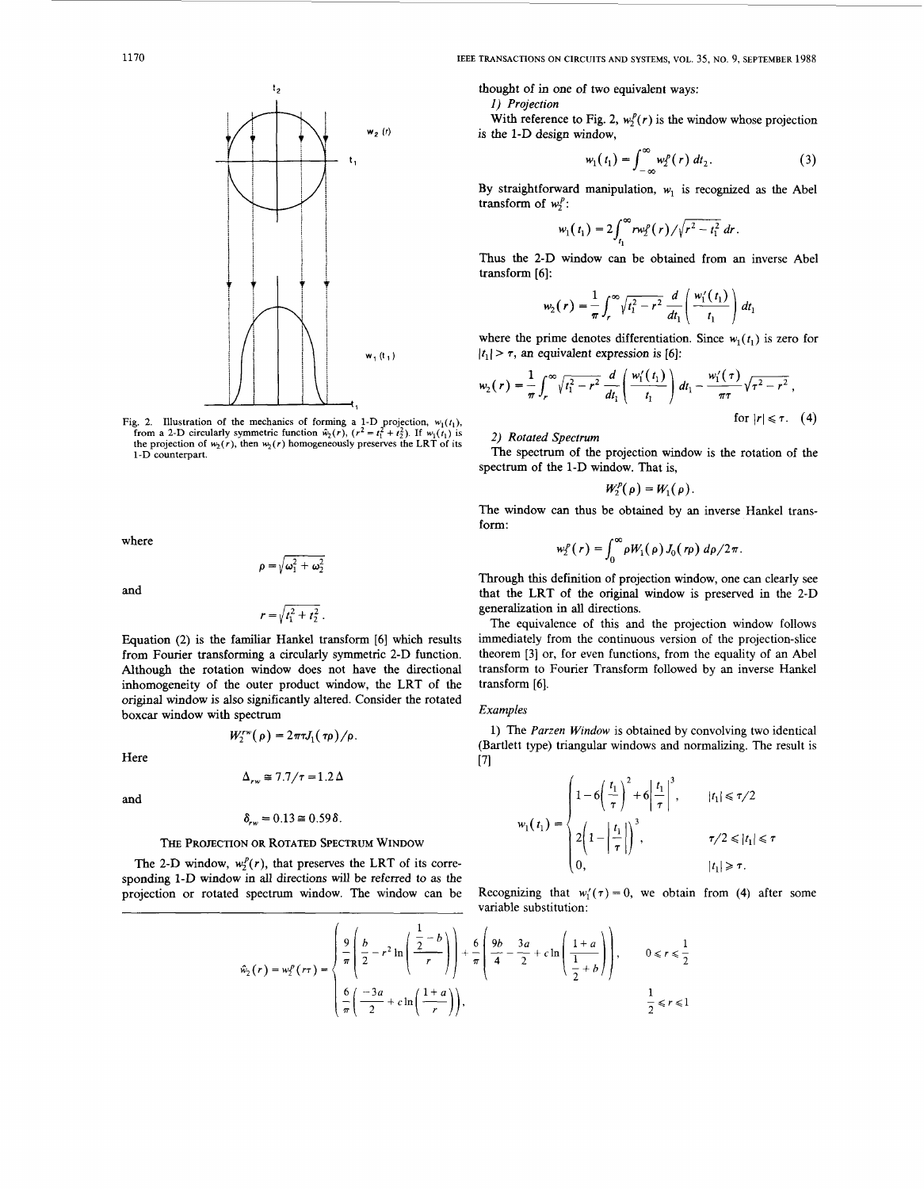

Fig. 2. Illustration of the mechanics of forming a 1-D projection,  $w_1(t_1)$ , from a 2-D circularly symmetric function  $\hat{w}_2(r)$ ,  $(r^2 = t_1^2 + t_2^2)$ . If  $w_1(t_1)$  is the projection of  $w_2(r)$ , then  $w_2(r)$  homogeneously 1-D **counterpart.** 

where

and

$$
r = \sqrt{t_1^2 + t_2^2}
$$

 $\rho = \sqrt{\omega_1^2 + \omega_2^2}$ 

Equation (2) is the familiar Hankel transform [6] which results from Fourier transforming a circularly symmetric *2-D* function. Although the rotation window does not have the directional inhomogeneity of the outer product window, the LRT of the original window is also significantly altered. Consider the rotated boxcar window with spectrum

Here

$$
\Delta_{rw} \approx 7.7/\tau = 1.2 \,\Delta
$$

 $W_2^{rw}(\rho) = 2\pi \tau J_1(\tau \rho)/\rho$ .

and

$$
\delta_{rw} = 0.13 \approx 0.59 \delta.
$$

## THE **PROJECTION OR ROTATED SPECTRUM WINDOW**

The 2-D window,  $w_2^p(r)$ , that preserves the LRT of its corresponding *1-D* window in all directions will be referred *to* **as** the projection or rotated spectrum window. The window can be

<span id="page-2-0"></span>1170 **IEEE TRANSACTIONS** ON **CIRCUITS AND SYSTEMS,** VOL. **35,** NO. 9, **SEPTEMBER** 1988

thought of in one of two equivalent ways:

*I) Projection* 

With reference to Fig. 2,  $w_i^p(r)$  is the window whose projection is the *1-D* design window,

$$
w_1(t_1) = \int_{-\infty}^{\infty} w_2^p(r) dt_2.
$$
 (3)

By straightforward manipulation,  $w_1$  is recognized as the Abel transform of  $w_1^p$ :

$$
w_1(t_1) = 2 \int_{t_1}^{\infty} r w_2^p(r) / \sqrt{r^2 - t_1^2} \, dr.
$$

Thus the *2-D* window can be obtained from an inverse Abel transform [6]:

$$
h_2(r) = \frac{1}{\pi} \int_r^{\infty} \sqrt{t_1^2 - r^2} \, \frac{d}{dt_1} \left( \frac{w_1'(t_1)}{t_1} \right) dt_1
$$

where the prime denotes differentiation. Since  $w_1(t_1)$  is zero for  $|t_1| > \tau$ , an equivalent expression is [6]:

$$
w_2(r) = \frac{1}{\pi} \int_r^{\infty} \sqrt{t_1^2 - r^2} \, \frac{d}{dt_1} \left( \frac{w_1'(t_1)}{t_1} \right) dt_1 - \frac{w_1'(\tau)}{\pi \tau} \sqrt{\tau^2 - r^2} \,,
$$
\nfor  $|r| \leq \tau$ .

\n(4)

2) *Rotated Spectrum* 

The spectrum of the projection window is the rotation of the spectrum of the *1-D* window. That is,

$$
W_2^p(\rho)=W_1(\rho).
$$

The window can thus be obtained by an inverse Hankel transform:

$$
w_2^p(r) = \int_0^\infty \rho W_1(\rho) J_0(r\rho) d\rho/2\pi.
$$

Through **this** definition of projection window, one can clearly see that the LRT of the original window is preserved in the *2-D*  generalization in all directions.

The equivalence of this and the projection window follows immediately from the continuous version of the projection-slice theorem *[3]* or, for even functions, from the equality of an Abel transform to Fourier Transform followed by an inverse Hankel transform [6].

# *Examples*

1) The *Parzen Window* is obtained by convolving two identical (Bartlett type) triangular windows and normalizing. The result **is**  *[71* 

$$
w_1(t_1) = \begin{cases} 1 - 6\left(\frac{t_1}{\tau}\right)^2 + 6\left|\frac{t_1}{\tau}\right|^3, & |t_1| \le \tau/2 \\ 2\left(1 - \left|\frac{t_1}{\tau}\right|\right)^3, & \tau/2 \le |t_1| \le \tau \\ 0, & |t_1| \ge \tau. \end{cases}
$$

Recognizing that  $w'_1(\tau) = 0$ , we obtain from (4) after some variable substitution:

$$
\hat{w}_2(r) = w_2^p(r\tau) = \begin{cases} \frac{9}{\pi} \left( \frac{b}{2} - r^2 \ln \left( \frac{\frac{1}{2} - b}{r} \right) \right) + \frac{6}{\pi} \left( \frac{9b}{4} - \frac{3a}{2} + c \ln \left( \frac{1+a}{\frac{1}{2} + b} \right) \right), & 0 \le r \le \frac{1}{2} \\ \frac{6}{\pi} \left( \frac{-3a}{2} + c \ln \left( \frac{1+a}{r} \right) \right), & \frac{1}{2} \le r \le 1 \end{cases}
$$

$$
\overline{a}
$$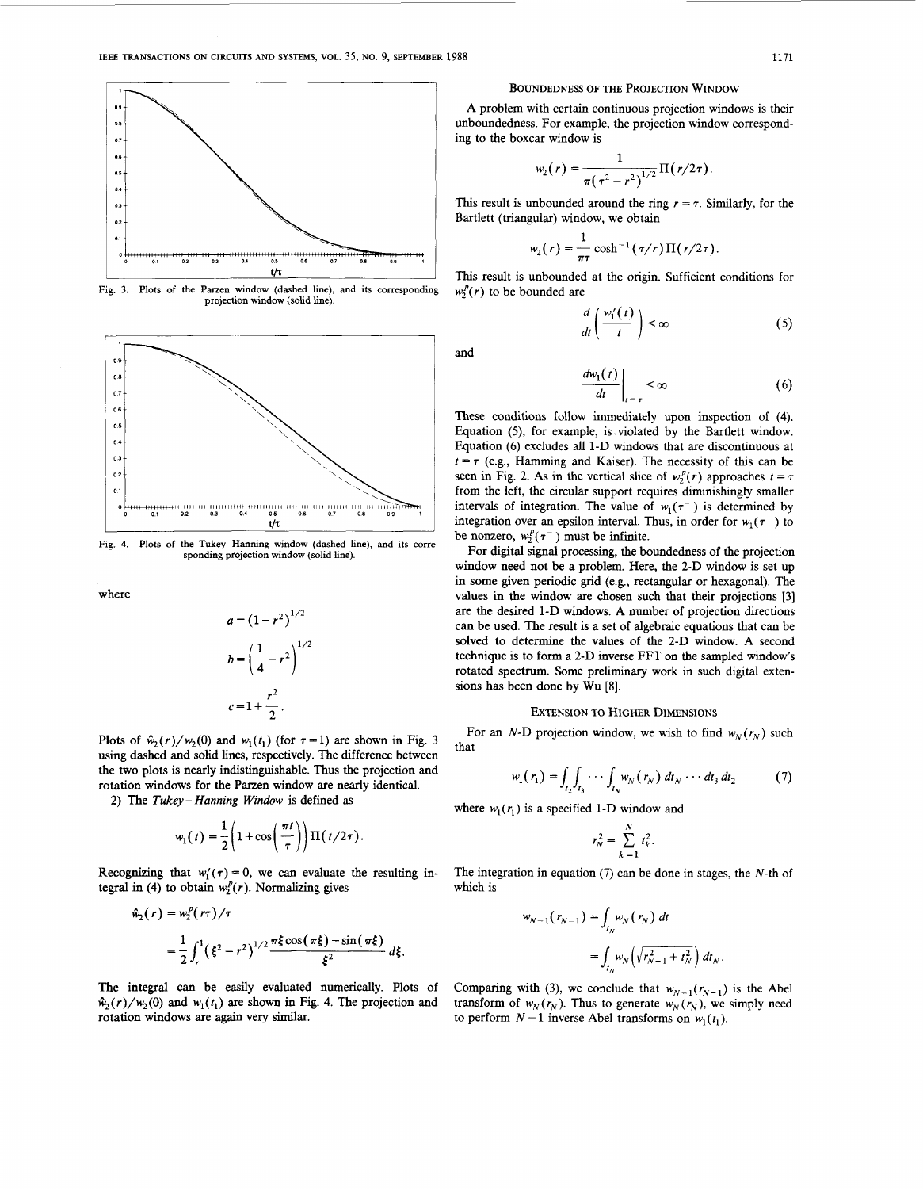<span id="page-3-0"></span>

**Fig. 3.** Plots of the Parzen window (dashed line), and its corresponding  $w_2^p(r)$  to be bounded are **projection window** (solid **line).** 



**Fig. 4. Plots of the Tukey-Hanning window (dashed line),** and **its corre- sponding projection window (solid line).** 

where

$$
a = (1 - r2)1/2
$$
  

$$
b = \left(\frac{1}{4} - r^{2}\right)^{1/2}
$$
  

$$
c = 1 + \frac{r^{2}}{2}.
$$

Plots of  $\hat{w}_2(r)/w_2(0)$  and  $w_1(t_1)$  (for  $\tau = 1$ ) are shown in Fig. 3 using dashed and solid lines, respectively. The difference between the two plots is nearly indistinguishable. Thus the projection and rotation windows for the Parzen window are nearly identical.

*2)* The *Tukey- Hunning Window* **is** defined **as** 

$$
w_1(t) = \frac{1}{2} \left( 1 + \cos\left(\frac{\pi t}{\tau}\right) \right) \Pi\left(\frac{t}{2\tau}\right).
$$

Recognizing that  $w_1'(\tau) = 0$ , we can evaluate the resulting integral in (4) to obtain  $w_2^p(r)$ . Normalizing gives

$$
\hat{w}_2(r) = w_2^p(r\tau)/\tau
$$
  
=  $\frac{1}{2} \int_r^1 (\xi^2 - r^2)^{1/2} \frac{\pi \xi \cos(\pi \xi) - \sin(\pi \xi)}{\xi^2} d\xi.$ 

The integral can be easily evaluated numerically. Plots of  $\hat{w}_2(r)/w_2(0)$  and  $w_1(t_1)$  are shown in Fig. 4. The projection and rotation windows are again very similar.

#### BOUNDEDNESS **OF** THE PROJECTION WINDOW

A problem with certain continuous projection windows is their unboundedness. For example, the projection window corresponding to the boxcar window is

$$
w_2(r) = \frac{1}{\pi(\tau^2 - r^2)^{1/2}} \Pi(r/2\tau).
$$

This result is unbounded around the ring  $r = \tau$ . Similarly, for the

Bartlett (triangular) window, we obtain  

$$
w_2(r) = \frac{1}{\pi \tau} \cosh^{-1}(\tau/r) \Pi(r/2\tau).
$$

**This** result is unbounded at the origin. Sufficient conditions for

$$
\frac{d}{dt}\left(\frac{w_1'(t)}{t}\right) < \infty \tag{5}
$$

and

$$
\left. \frac{dw_1(t)}{dt} \right|_{t=\tau} < \infty \tag{6}
$$

These conditions follow immediately upon inspection of **(4).**  Equation *(5),* for example, is.violated by the Bartlett window. Equation (6) excludes all *1-D* windows that are discontinuous at  $t = \tau$  (e.g., Hamming and Kaiser). The necessity of this can be seen in [Fig.](#page-2-0) 2. As in the vertical slice of  $w_2^p(r)$  approaches  $t = \tau$ from the left, the circular support requires diminishingly smaller intervals of integration. The value of  $w_1(\tau^-)$  is determined by integration over an epsilon interval. Thus, in order for  $w_1(\tau^-)$  to be nonzero,  $w_2^p(\tau^-)$  must be infinite.

For digital signal processing, the boundedness of the projection window need not be a problem. Here, the *2-D* window is set up in some given periodic grid (e.g., rectangular or hexagonal). The values in the window are chosen such that their projections [3] are the desired *1-D* windows. A number of projection directions can be used. The result is a set of algebraic equations that can be solved to determine the values of the *2-D* window. A second technique is to form a *2-D* inverse FFT on the sampled window's rotated spectrum. Some preliminary work in such digital extensions has been done by **Wu [8].** 

## EXTENSION **TO** HIGHER **DIMENSIONS**

For an *N*-D projection window, we wish to find  $w_N(r_N)$  such that

$$
w_1(r_1) = \int_{t_2} \int_{t_3} \cdots \int_{t_N} w_N(r_N) \, dt_N \cdots dt_3 \, dt_2 \tag{7}
$$

where  $w_1(r_1)$  is a specified 1-D window and

$$
r_N^2 = \sum_{k=1}^N t_k^2.
$$

The integration in equation  $(7)$  can be done in stages, the N-th of which is

$$
w_{N-1}(r_{N-1}) = \int_{t_N} w_N(r_N) dt
$$
  
= 
$$
\int_{t_N} w_N(\sqrt{r_{N-1}^2 + t_N^2}) dt_N.
$$

Comparing with (3), we conclude that  $w_{N-1}(r_{N-1})$  is the Abel transform of  $w_N(r_N)$ . Thus to generate  $w_N(r_N)$ , we simply need to perform  $N-1$  inverse Abel transforms on  $w_1(t_1)$ .